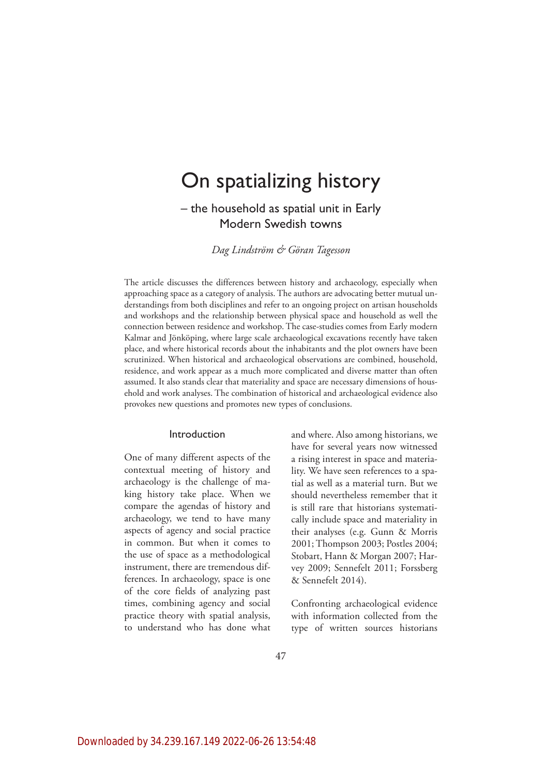# On spatializing history

– the household as spatial unit in Early Modern Swedish towns

*Dag Lindström & Göran Tagesson*

The article discusses the differences between history and archaeology, especially when approaching space as a category of analysis. The authors are advocating better mutual understandings from both disciplines and refer to an ongoing project on artisan households and workshops and the relationship between physical space and household as well the connection between residence and workshop. The case-studies comes from Early modern Kalmar and Jönköping, where large scale archaeological excavations recently have taken place, and where historical records about the inhabitants and the plot owners have been scrutinized. When historical and archaeological observations are combined, household, residence, and work appear as a much more complicated and diverse matter than often assumed. It also stands clear that materiality and space are necessary dimensions of household and work analyses. The combination of historical and archaeological evidence also provokes new questions and promotes new types of conclusions.

#### Introduction

One of many different aspects of the contextual meeting of history and archaeology is the challenge of making history take place. When we compare the agendas of history and archaeology, we tend to have many aspects of agency and social practice in common. But when it comes to the use of space as a methodological instrument, there are tremendous differences. In archaeology, space is one of the core fields of analyzing past times, combining agency and social practice theory with spatial analysis, to understand who has done what

and where. Also among historians, we have for several years now witnessed a rising interest in space and materiality. We have seen references to a spatial as well as a material turn. But we should nevertheless remember that it is still rare that historians systematically include space and materiality in their analyses (e.g. Gunn & Morris 2001; Thompson 2003; Postles 2004; Stobart, Hann & Morgan 2007; Harvey 2009; Sennefelt 2011; Forssberg & Sennefelt 2014).

Confronting archaeological evidence with information collected from the type of written sources historians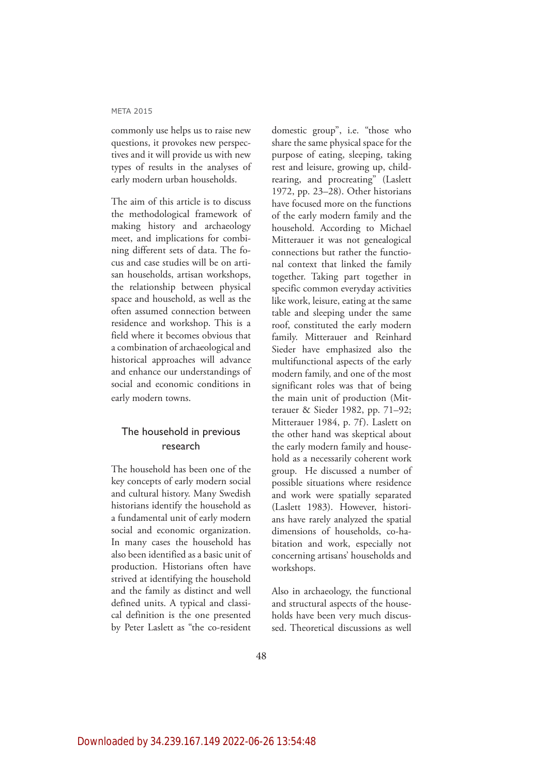commonly use helps us to raise new questions, it provokes new perspectives and it will provide us with new types of results in the analyses of early modern urban households.

The aim of this article is to discuss the methodological framework of making history and archaeology meet, and implications for combining different sets of data. The focus and case studies will be on artisan households, artisan workshops, the relationship between physical space and household, as well as the often assumed connection between residence and workshop. This is a field where it becomes obvious that a combination of archaeological and historical approaches will advance and enhance our understandings of social and economic conditions in early modern towns.

## The household in previous research

The household has been one of the key concepts of early modern social and cultural history. Many Swedish historians identify the household as a fundamental unit of early modern social and economic organization. In many cases the household has also been identified as a basic unit of production. Historians often have strived at identifying the household and the family as distinct and well defined units. A typical and classical definition is the one presented by Peter Laslett as "the co-resident

domestic group", i.e. "those who share the same physical space for the purpose of eating, sleeping, taking rest and leisure, growing up, childrearing, and procreating" (Laslett 1972, pp. 23–28). Other historians have focused more on the functions of the early modern family and the household. According to Michael Mitterauer it was not genealogical connections but rather the functional context that linked the family together. Taking part together in specific common everyday activities like work, leisure, eating at the same table and sleeping under the same roof, constituted the early modern family. Mitterauer and Reinhard Sieder have emphasized also the multifunctional aspects of the early modern family, and one of the most significant roles was that of being the main unit of production (Mitterauer & Sieder 1982, pp. 71–92; Mitterauer 1984, p. 7f). Laslett on the other hand was skeptical about the early modern family and household as a necessarily coherent work group. He discussed a number of possible situations where residence and work were spatially separated (Laslett 1983). However, historians have rarely analyzed the spatial dimensions of households, co-habitation and work, especially not concerning artisans' households and workshops.

Also in archaeology, the functional and structural aspects of the households have been very much discussed. Theoretical discussions as well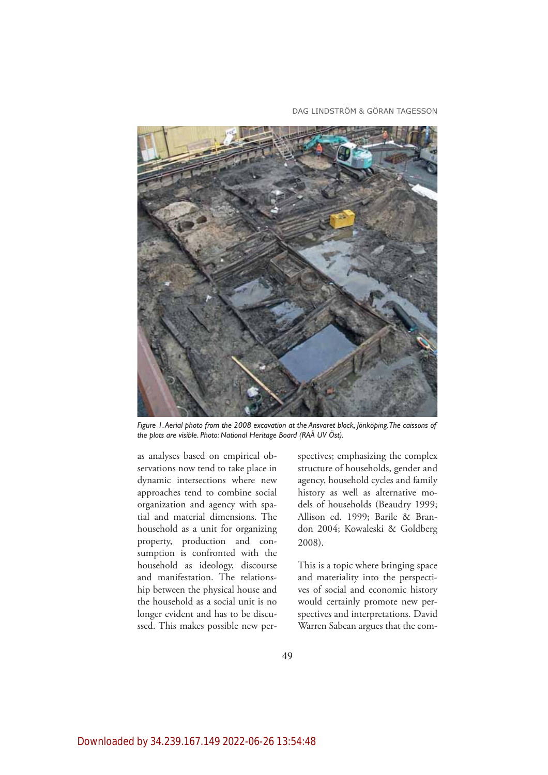DAG LINDSTRÖM & GÖRAN TAGESSON



Figure 1. Aerial photo from the 2008 excavation at the Ansvaret block, Jönköping. The caissons of the plots are visible. Photo: National Heritage Board (RAÄ UV Öst).

as analyses based on empirical observations now tend to take place in dynamic intersections where new approaches tend to combine social organization and agency with spatial and material dimensions. The household as a unit for organizing property, production and consumption is confronted with the household as ideology, discourse and manifestation. The relationship between the physical house and the household as a social unit is no longer evident and has to be discussed. This makes possible new perspectives; emphasizing the complex structure of households, gender and agency, household cycles and family history as well as alternative models of households (Beaudry 1999; Allison ed. 1999; Barile & Brandon 2004; Kowaleski & Goldberg 2008).

This is a topic where bringing space and materiality into the perspectives of social and economic history would certainly promote new perspectives and interpretations. David Warren Sabean argues that the com-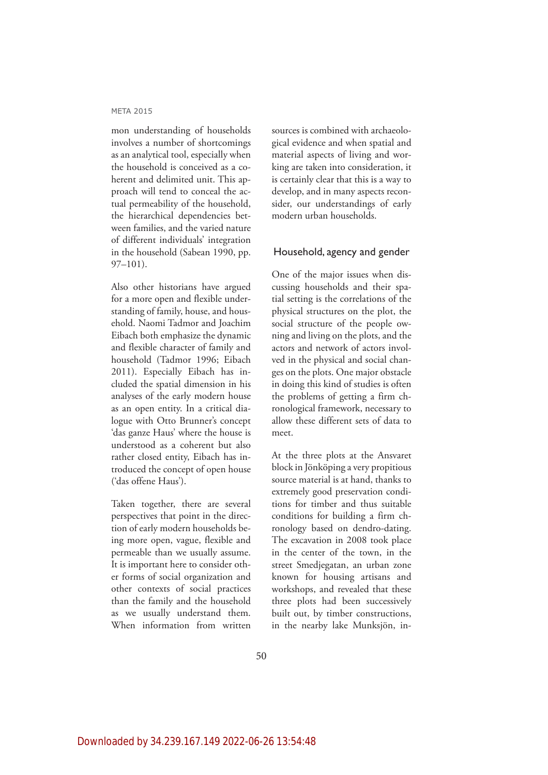mon understanding of households involves a number of shortcomings as an analytical tool, especially when the household is conceived as a coherent and delimited unit. This approach will tend to conceal the actual permeability of the household, the hierarchical dependencies between families, and the varied nature of different individuals' integration in the household (Sabean 1990, pp. 97–101).

Also other historians have argued for a more open and flexible understanding of family, house, and household. Naomi Tadmor and Joachim Eibach both emphasize the dynamic and flexible character of family and household (Tadmor 1996; Eibach 2011). Especially Eibach has included the spatial dimension in his analyses of the early modern house as an open entity. In a critical dialogue with Otto Brunner's concept 'das ganze Haus' where the house is understood as a coherent but also rather closed entity, Eibach has introduced the concept of open house ('das offene Haus').

Taken together, there are several perspectives that point in the direction of early modern households being more open, vague, flexible and permeable than we usually assume. It is important here to consider other forms of social organization and other contexts of social practices than the family and the household as we usually understand them. When information from written

sources is combined with archaeological evidence and when spatial and material aspects of living and working are taken into consideration, it is certainly clear that this is a way to develop, and in many aspects reconsider, our understandings of early modern urban households.

### Household, agency and gender

One of the major issues when discussing households and their spatial setting is the correlations of the physical structures on the plot, the social structure of the people owning and living on the plots, and the actors and network of actors involved in the physical and social changes on the plots. One major obstacle in doing this kind of studies is often the problems of getting a firm chronological framework, necessary to allow these different sets of data to meet.

At the three plots at the Ansvaret block in Jönköping a very propitious source material is at hand, thanks to extremely good preservation conditions for timber and thus suitable conditions for building a firm chronology based on dendro-dating. The excavation in 2008 took place in the center of the town, in the street Smedjegatan, an urban zone known for housing artisans and workshops, and revealed that these three plots had been successively built out, by timber constructions, in the nearby lake Munksjön, in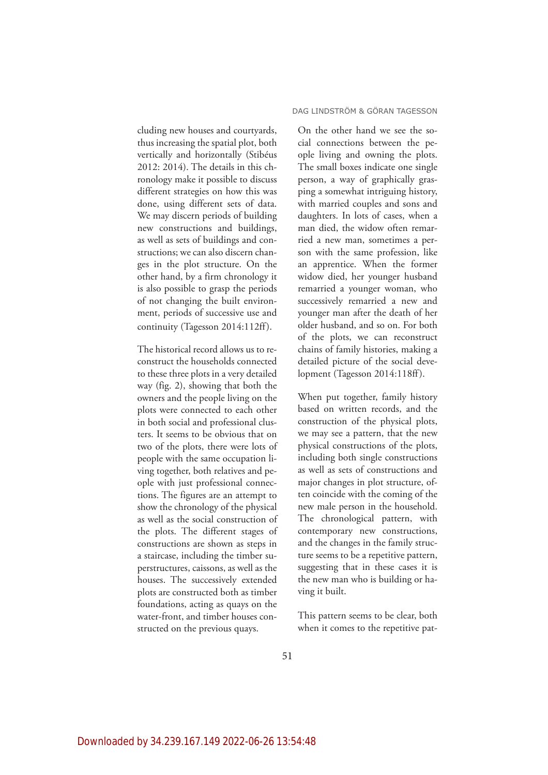cluding new houses and courtyards, thus increasing the spatial plot, both vertically and horizontally (Stibéus 2012: 2014). The details in this chronology make it possible to discuss different strategies on how this was done, using different sets of data. We may discern periods of building new constructions and buildings, as well as sets of buildings and constructions; we can also discern changes in the plot structure. On the other hand, by a firm chronology it is also possible to grasp the periods of not changing the built environment, periods of successive use and continuity (Tagesson 2014:112ff).

The historical record allows us to reconstruct the households connected to these three plots in a very detailed way (fig. 2), showing that both the owners and the people living on the plots were connected to each other in both social and professional clusters. It seems to be obvious that on two of the plots, there were lots of people with the same occupation living together, both relatives and people with just professional connections. The figures are an attempt to show the chronology of the physical as well as the social construction of the plots. The different stages of constructions are shown as steps in a staircase, including the timber superstructures, caissons, as well as the houses. The successively extended plots are constructed both as timber foundations, acting as quays on the water-front, and timber houses constructed on the previous quays.

#### DAG LINDSTRÖM & GÖRAN TAGESSON

On the other hand we see the social connections between the people living and owning the plots. The small boxes indicate one single person, a way of graphically grasping a somewhat intriguing history, with married couples and sons and daughters. In lots of cases, when a man died, the widow often remarried a new man, sometimes a person with the same profession, like an apprentice. When the former widow died, her younger husband remarried a younger woman, who successively remarried a new and younger man after the death of her older husband, and so on. For both of the plots, we can reconstruct chains of family histories, making a detailed picture of the social development (Tagesson 2014:118ff).

When put together, family history based on written records, and the construction of the physical plots, we may see a pattern, that the new physical constructions of the plots, including both single constructions as well as sets of constructions and major changes in plot structure, often coincide with the coming of the new male person in the household. The chronological pattern, with contemporary new constructions, and the changes in the family structure seems to be a repetitive pattern, suggesting that in these cases it is the new man who is building or having it built.

This pattern seems to be clear, both when it comes to the repetitive pat-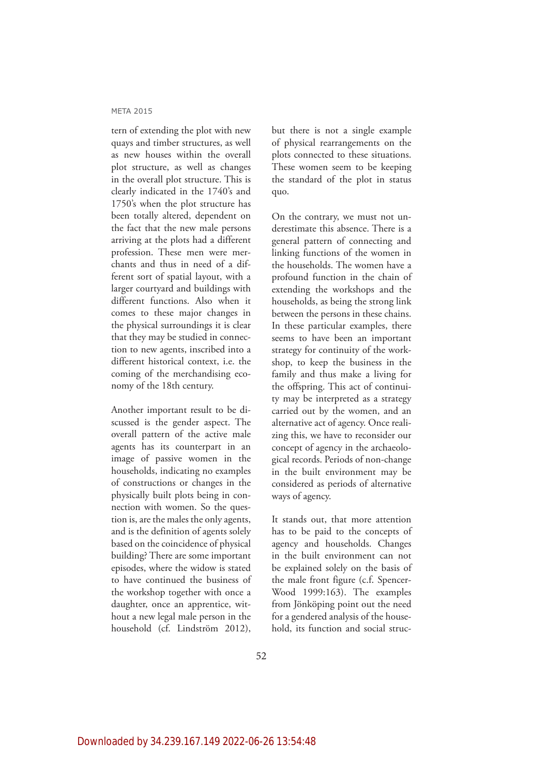tern of extending the plot with new quays and timber structures, as well as new houses within the overall plot structure, as well as changes in the overall plot structure. This is clearly indicated in the 1740's and 1750's when the plot structure has been totally altered, dependent on the fact that the new male persons arriving at the plots had a different profession. These men were merchants and thus in need of a different sort of spatial layout, with a larger courtyard and buildings with different functions. Also when it comes to these major changes in the physical surroundings it is clear that they may be studied in connection to new agents, inscribed into a different historical context, i.e. the coming of the merchandising economy of the 18th century.

Another important result to be discussed is the gender aspect. The overall pattern of the active male agents has its counterpart in an image of passive women in the households, indicating no examples of constructions or changes in the physically built plots being in connection with women. So the question is, are the males the only agents, and is the definition of agents solely based on the coincidence of physical building? There are some important episodes, where the widow is stated to have continued the business of the workshop together with once a daughter, once an apprentice, without a new legal male person in the household (cf. Lindström 2012),

but there is not a single example of physical rearrangements on the plots connected to these situations. These women seem to be keeping the standard of the plot in status quo.

On the contrary, we must not underestimate this absence. There is a general pattern of connecting and linking functions of the women in the households. The women have a profound function in the chain of extending the workshops and the households, as being the strong link between the persons in these chains. In these particular examples, there seems to have been an important strategy for continuity of the workshop, to keep the business in the family and thus make a living for the offspring. This act of continuity may be interpreted as a strategy carried out by the women, and an alternative act of agency. Once realizing this, we have to reconsider our concept of agency in the archaeological records. Periods of non-change in the built environment may be considered as periods of alternative ways of agency.

It stands out, that more attention has to be paid to the concepts of agency and households. Changes in the built environment can not be explained solely on the basis of the male front figure (c.f. Spencer-Wood 1999:163). The examples from Jönköping point out the need for a gendered analysis of the household, its function and social struc-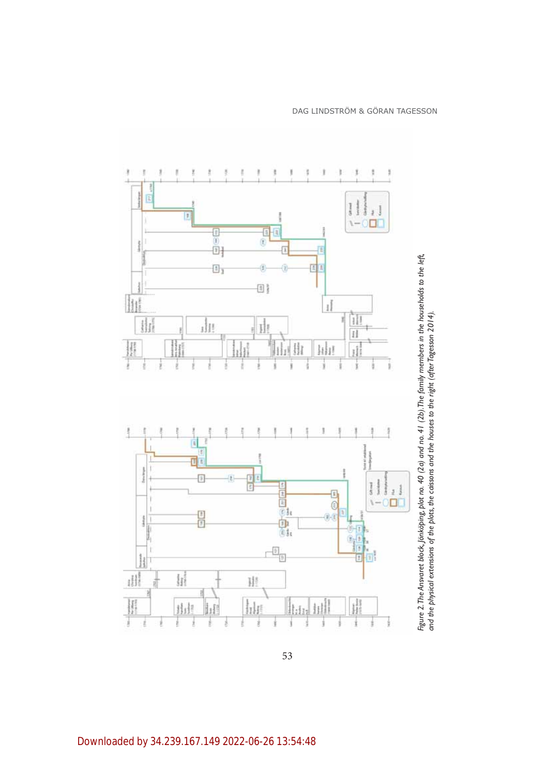

53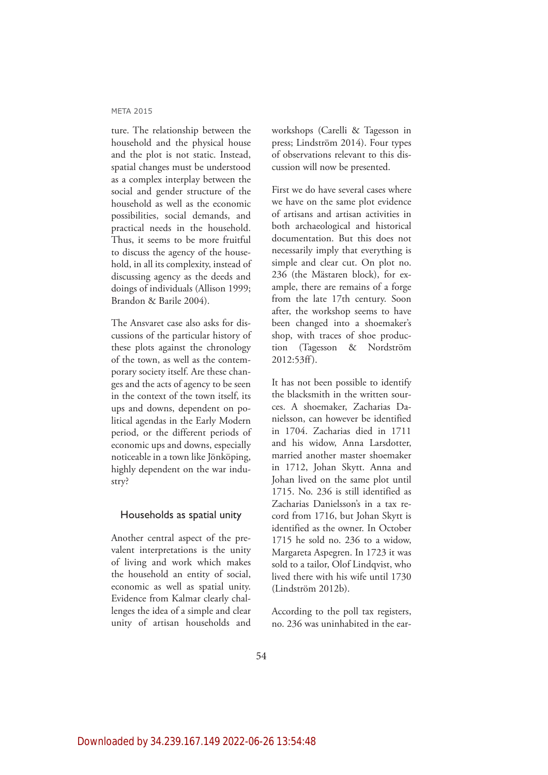ture. The relationship between the household and the physical house and the plot is not static. Instead, spatial changes must be understood as a complex interplay between the social and gender structure of the household as well as the economic possibilities, social demands, and practical needs in the household. Thus, it seems to be more fruitful to discuss the agency of the household, in all its complexity, instead of discussing agency as the deeds and doings of individuals (Allison 1999; Brandon & Barile 2004).

The Ansvaret case also asks for discussions of the particular history of these plots against the chronology of the town, as well as the contemporary society itself. Are these changes and the acts of agency to be seen in the context of the town itself, its ups and downs, dependent on political agendas in the Early Modern period, or the different periods of economic ups and downs, especially noticeable in a town like Jönköping, highly dependent on the war industry?

#### Households as spatial unity

Another central aspect of the prevalent interpretations is the unity of living and work which makes the household an entity of social, economic as well as spatial unity. Evidence from Kalmar clearly challenges the idea of a simple and clear unity of artisan households and workshops (Carelli & Tagesson in press; Lindström 2014). Four types of observations relevant to this discussion will now be presented.

First we do have several cases where we have on the same plot evidence of artisans and artisan activities in both archaeological and historical documentation. But this does not necessarily imply that everything is simple and clear cut. On plot no. 236 (the Mästaren block), for example, there are remains of a forge from the late 17th century. Soon after, the workshop seems to have been changed into a shoemaker's shop, with traces of shoe production (Tagesson & Nordström 2012:53ff).

It has not been possible to identify the blacksmith in the written sources. A shoemaker, Zacharias Danielsson, can however be identified in 1704. Zacharias died in 1711 and his widow, Anna Larsdotter, married another master shoemaker in 1712, Johan Skytt. Anna and Johan lived on the same plot until 1715. No. 236 is still identified as Zacharias Danielsson's in a tax record from 1716, but Johan Skytt is identified as the owner. In October 1715 he sold no. 236 to a widow, Margareta Aspegren. In 1723 it was sold to a tailor, Olof Lindqvist, who lived there with his wife until 1730 (Lindström 2012b).

According to the poll tax registers, no. 236 was uninhabited in the ear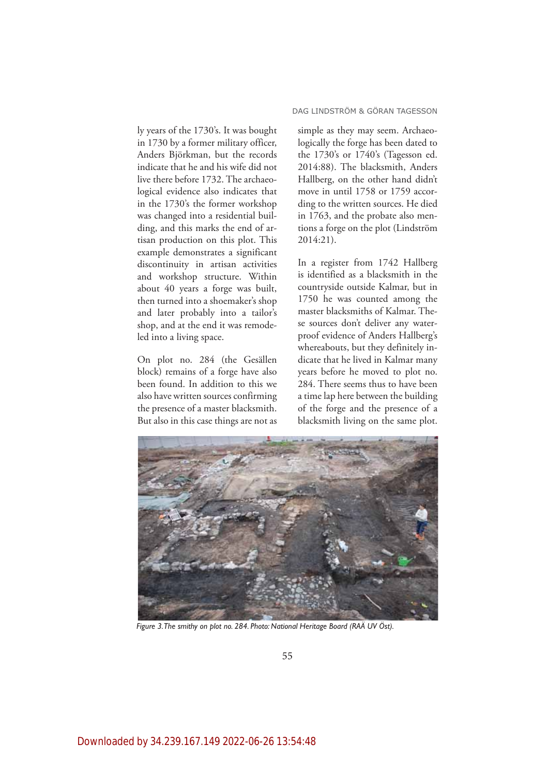ly years of the 1730's. It was bought in 1730 by a former military officer, Anders Björkman, but the records indicate that he and his wife did not live there before 1732. The archaeological evidence also indicates that in the 1730's the former workshop was changed into a residential building, and this marks the end of artisan production on this plot. This example demonstrates a significant discontinuity in artisan activities and workshop structure. Within about 40 years a forge was built, then turned into a shoemaker's shop and later probably into a tailor's shop, and at the end it was remodeled into a living space.

On plot no. 284 (the Gesällen block) remains of a forge have also been found. In addition to this we also have written sources confirming the presence of a master blacksmith. But also in this case things are not as

#### DAG LINDSTRÖM & GÖRAN TAGESSON

simple as they may seem. Archaeologically the forge has been dated to the 1730's or 1740's (Tagesson ed. 2014:88). The blacksmith, Anders Hallberg, on the other hand didn't move in until 1758 or 1759 according to the written sources. He died in 1763, and the probate also mentions a forge on the plot (Lindström 2014:21).

In a register from 1742 Hallberg is identified as a blacksmith in the countryside outside Kalmar, but in 1750 he was counted among the master blacksmiths of Kalmar. These sources don't deliver any waterproof evidence of Anders Hallberg's whereabouts, but they definitely indicate that he lived in Kalmar many years before he moved to plot no. 284. There seems thus to have been a time lap here between the building of the forge and the presence of a blacksmith living on the same plot.



Figure 3. The smithy on plot no. 284. Photo: National Heritage Board (RAÄ UV Öst).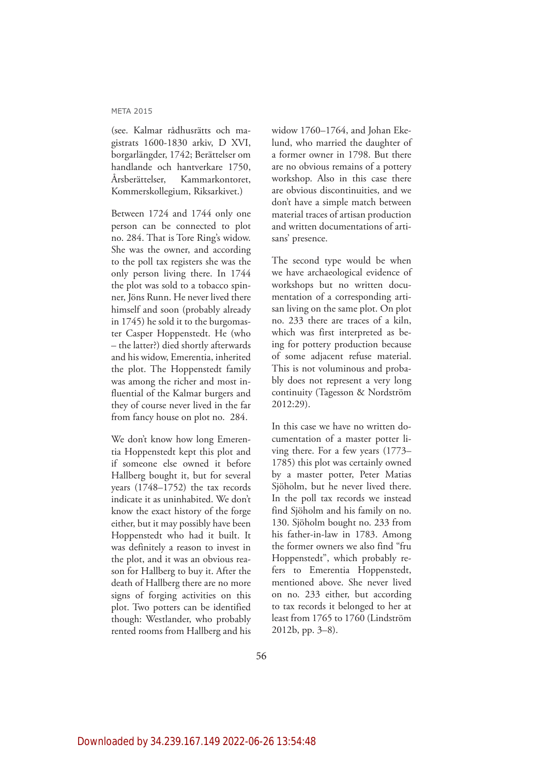(see. Kalmar rådhusrätts och magistrats 1600-1830 arkiv, D XVI, borgarlängder, 1742; Berättelser om handlande och hantverkare 1750, Årsberättelser, Kammarkontoret, Kommerskollegium, Riksarkivet.)

Between 1724 and 1744 only one person can be connected to plot no. 284. That is Tore Ring's widow. She was the owner, and according to the poll tax registers she was the only person living there. In 1744 the plot was sold to a tobacco spinner, Jöns Runn. He never lived there himself and soon (probably already in 1745) he sold it to the burgomaster Casper Hoppenstedt. He (who – the latter?) died shortly afterwards and his widow, Emerentia, inherited the plot. The Hoppenstedt family was among the richer and most influential of the Kalmar burgers and they of course never lived in the far from fancy house on plot no. 284.

We don't know how long Emerentia Hoppenstedt kept this plot and if someone else owned it before Hallberg bought it, but for several years (1748–1752) the tax records indicate it as uninhabited. We don't know the exact history of the forge either, but it may possibly have been Hoppenstedt who had it built. It was definitely a reason to invest in the plot, and it was an obvious reason for Hallberg to buy it. After the death of Hallberg there are no more signs of forging activities on this plot. Two potters can be identified though: Westlander, who probably rented rooms from Hallberg and his

widow 1760–1764, and Johan Ekelund, who married the daughter of a former owner in 1798. But there are no obvious remains of a pottery workshop. Also in this case there are obvious discontinuities, and we don't have a simple match between material traces of artisan production and written documentations of artisans' presence.

The second type would be when we have archaeological evidence of workshops but no written documentation of a corresponding artisan living on the same plot. On plot no. 233 there are traces of a kiln, which was first interpreted as being for pottery production because of some adjacent refuse material. This is not voluminous and probably does not represent a very long continuity (Tagesson & Nordström 2012:29).

In this case we have no written documentation of a master potter living there. For a few years (1773– 1785) this plot was certainly owned by a master potter, Peter Matias Sjöholm, but he never lived there. In the poll tax records we instead find Sjöholm and his family on no. 130. Sjöholm bought no. 233 from his father-in-law in 1783. Among the former owners we also find "fru Hoppenstedt", which probably refers to Emerentia Hoppenstedt, mentioned above. She never lived on no. 233 either, but according to tax records it belonged to her at least from 1765 to 1760 (Lindström 2012b, pp. 3–8).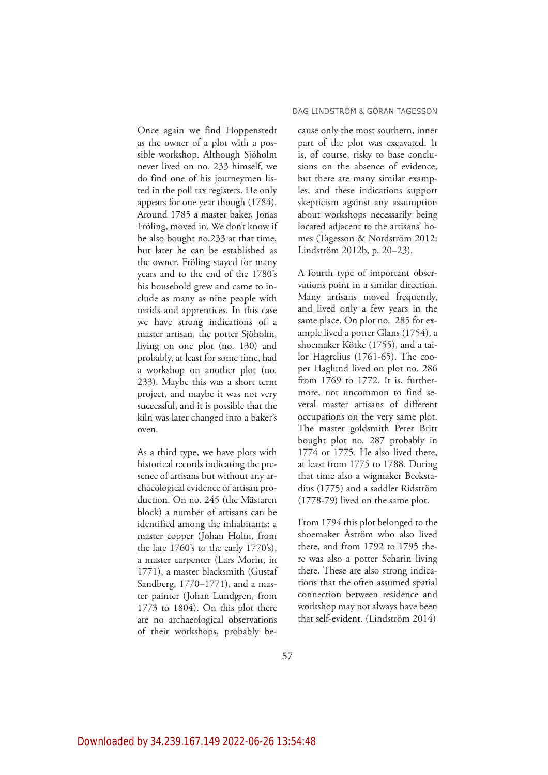Once again we find Hoppenstedt as the owner of a plot with a possible workshop. Although Sjöholm never lived on no. 233 himself, we do find one of his journeymen listed in the poll tax registers. He only appears for one year though (1784). Around 1785 a master baker, Jonas Fröling, moved in. We don't know if he also bought no.233 at that time, but later he can be established as the owner. Fröling stayed for many years and to the end of the 1780's his household grew and came to include as many as nine people with maids and apprentices. In this case we have strong indications of a master artisan, the potter Sjöholm, living on one plot (no. 130) and probably, at least for some time, had a workshop on another plot (no. 233). Maybe this was a short term project, and maybe it was not very successful, and it is possible that the kiln was later changed into a baker's oven.

As a third type, we have plots with historical records indicating the presence of artisans but without any archaeological evidence of artisan production. On no. 245 (the Mästaren block) a number of artisans can be identified among the inhabitants: a master copper (Johan Holm, from the late 1760's to the early 1770's), a master carpenter (Lars Morin, in 1771), a master blacksmith (Gustaf Sandberg, 1770–1771), and a master painter (Johan Lundgren, from 1773 to 1804). On this plot there are no archaeological observations of their workshops, probably be-

ample lived a potter Glans (1754), a shoemaker Kötke (1755), and a tailor Hagrelius (1761-65). The cooper Haglund lived on plot no. 286 from 1769 to 1772. It is, furthermore, not uncommon to find several master artisans of different occupations on the very same plot. The master goldsmith Peter Britt bought plot no. 287 probably in 1774 or 1775. He also lived there, at least from 1775 to 1788. During that time also a wigmaker Beckstadius (1775) and a saddler Ridström (1778-79) lived on the same plot.

From 1794 this plot belonged to the shoemaker Åström who also lived there, and from 1792 to 1795 there was also a potter Scharin living there. These are also strong indications that the often assumed spatial connection between residence and workshop may not always have been that self-evident. (Lindström 2014)

cause only the most southern, inner part of the plot was excavated. It is, of course, risky to base conclusions on the absence of evidence, but there are many similar examples, and these indications support skepticism against any assumption about workshops necessarily being located adjacent to the artisans' homes (Tagesson & Nordström 2012: Lindström 2012b, p. 20–23).

A fourth type of important observations point in a similar direction. Many artisans moved frequently, and lived only a few years in the same place. On plot no. 285 for ex-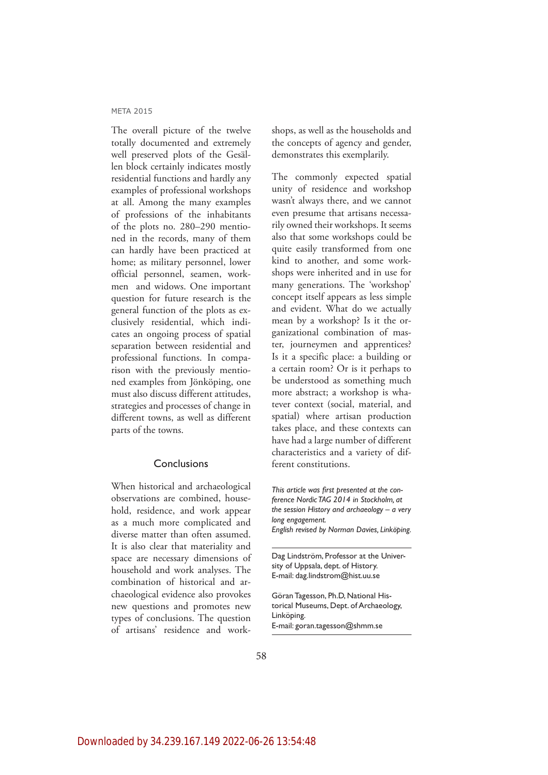The overall picture of the twelve totally documented and extremely well preserved plots of the Gesällen block certainly indicates mostly residential functions and hardly any examples of professional workshops at all. Among the many examples of professions of the inhabitants of the plots no. 280–290 mentioned in the records, many of them can hardly have been practiced at home; as military personnel, lower official personnel, seamen, workmen and widows. One important question for future research is the general function of the plots as exclusively residential, which indicates an ongoing process of spatial separation between residential and professional functions. In comparison with the previously mentioned examples from Jönköping, one must also discuss different attitudes, strategies and processes of change in different towns, as well as different parts of the towns.

### Conclusions

When historical and archaeological observations are combined, household, residence, and work appear as a much more complicated and diverse matter than often assumed. It is also clear that materiality and space are necessary dimensions of household and work analyses. The combination of historical and archaeological evidence also provokes new questions and promotes new types of conclusions. The question of artisans' residence and workshops, as well as the households and the concepts of agency and gender, demonstrates this exemplarily.

The commonly expected spatial unity of residence and workshop wasn't always there, and we cannot even presume that artisans necessarily owned their workshops. It seems also that some workshops could be quite easily transformed from one kind to another, and some workshops were inherited and in use for many generations. The 'workshop' concept itself appears as less simple and evident. What do we actually mean by a workshop? Is it the organizational combination of master, journeymen and apprentices? Is it a specific place: a building or a certain room? Or is it perhaps to be understood as something much more abstract; a workshop is whatever context (social, material, and spatial) where artisan production takes place, and these contexts can have had a large number of different characteristics and a variety of different constitutions.

*This* article was first presented at the con-*IFFRICA BOOTHLIGG TAG 2014 in Stockholm, at the session History and archaeology – a very long engagement. English revised by Norman Davies, Linköping.* 

Dag Lindström, Professor at the University of Uppsala, dept. of History. E-mail: dag.lindstrom@hist.uu.se

Göran Tagesson, Ph.D, National Historical Museums, Dept. of Archaeology, Linköping. E-mail: goran.tagesson@shmm.se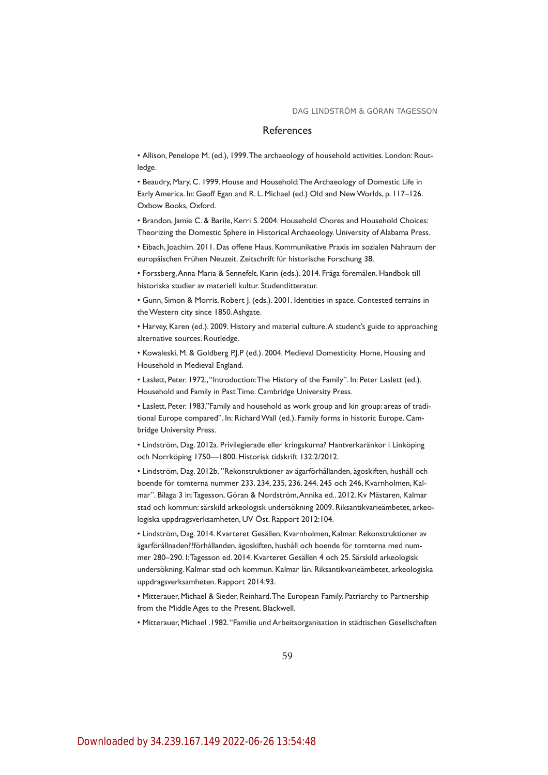#### References

• Allison, Penelope M. (ed.), 1999. The archaeology of household activities. London: Routledge.

• Beaudry, Mary, C. 1999. House and Household: The Archaeology of Domestic Life in Early America. In: Geoff Egan and R. L. Michael (ed.) Old and New Worlds, p. 117-126. Oxbow Books, Oxford.

Brandon, Jamie C. & Barile, Kerri S. 2004. Household Chores and Household Choices: Theorizing the Domestic Sphere in Historical Archaeology. University of Alabama Press.

Eibach, Joachim. 2011. Das offene Haus. Kommunikative Praxis im sozialen Nahraum der europäischen Frühen Neuzeit. Zeitschrift für historische Forschung 38.

Forssberg, Anna Maria & Sennefelt, Karin (eds.). 2014. Fråga föremålen. Handbok till historiska studier av materiell kultur. Studentlitteratur.

Gunn, Simon & Morris, Robert J. (eds.). 2001. Identities in space. Contested terrains in the Western city since 1850. Ashgate.

• Harvey, Karen (ed.). 2009. History and material culture. A student's guide to approaching alternative sources. Routledge.

Kowaleski, M. & Goldberg P.J.P (ed.). 2004. Medieval Domesticity. Home, Housing and Household in Medieval England.

• Laslett, Peter. 1972., "Introduction: The History of the Family". In: Peter Laslett (ed.). Household and Family in Past Time. Cambridge University Press.

• Laslett, Peter. 1983."Family and household as work group and kin group: areas of traditional Europe compared". In: Richard Wall (ed.). Family forms in historic Europe. Cambridge University Press.

Lindström, Dag. 2012a. Privilegierade eller kringskurna? Hantverkaränkor i Linköping och Norrköping 1750-1800. Historisk tidskrift 132:2/2012.

Lindström, Dag. 2012b. "Rekonstruktioner av ägarförhållanden, ägoskiften, hushåll och boende för tomterna nummer 233, 234, 235, 236, 244, 245 och 246, Kvarnholmen, Kalmar". Bilaga 3 in: Tagesson, Göran & Nordström, Annika ed.. 2012. Kv Mästaren, Kalmar stad och kommun: särskild arkeologisk undersökning 2009. Riksantikvarieämbetet, arkeologiska uppdragsverksamheten, UV Öst. Rapport 2012:104.

Lindström, Dag. 2014. Kvarteret Gesällen, Kvarnholmen, Kalmar. Rekonstruktioner av ägarförållnaden??förhållanden, ägoskiften, hushåll och boende för tomterna med nummer 280-290. I: Tagesson ed. 2014. Kvarteret Gesällen 4 och 25. Särskild arkeologisk undersökning. Kalmar stad och kommun. Kalmar län. Riksantikvarieämbetet, arkeologiska uppdragsverksamheten. Rapport 2014:93.

Mitterauer, Michael & Sieder, Reinhard. The European Family. Patriarchy to Partnership from the Middle Ages to the Present. Blackwell.

• Mitterauer, Michael . 1982. "Familie und Arbeitsorganisation in städtischen Gesellschaften